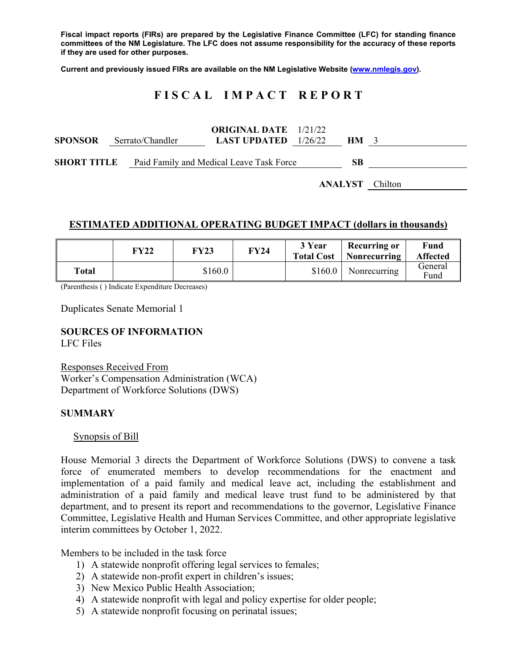**Fiscal impact reports (FIRs) are prepared by the Legislative Finance Committee (LFC) for standing finance committees of the NM Legislature. The LFC does not assume responsibility for the accuracy of these reports if they are used for other purposes.** 

**Current and previously issued FIRs are available on the NM Legislative Website (www.nmlegis.gov).** 

## **F I S C A L I M P A C T R E P O R T**

| <b>SPONSOR</b> | Serrato/Chandler                                            | <b>ORIGINAL DATE</b> 1/21/22<br><b>LAST UPDATED</b> $1/26/22$ | <b>HM</b>              |  |
|----------------|-------------------------------------------------------------|---------------------------------------------------------------|------------------------|--|
|                | <b>SHORT TITLE</b> Paid Family and Medical Leave Task Force |                                                               | <b>SB</b>              |  |
|                |                                                             |                                                               | <b>ANALYST</b> Chilton |  |

#### **ESTIMATED ADDITIONAL OPERATING BUDGET IMPACT (dollars in thousands)**

|       | FY22 | <b>FY23</b> | FY24 | 3 Year<br><b>Total Cost</b> | <b>Recurring or</b><br>  Nonrecurring | Fund<br><b>Affected</b> |
|-------|------|-------------|------|-----------------------------|---------------------------------------|-------------------------|
| Total |      | \$160.0     |      | \$160.0                     | Nonrecurring                          | General<br>Fund         |

(Parenthesis ( ) Indicate Expenditure Decreases)

Duplicates Senate Memorial 1

# **SOURCES OF INFORMATION**

LFC Files

Responses Received From Worker's Compensation Administration (WCA) Department of Workforce Solutions (DWS)

#### **SUMMARY**

Synopsis of Bill

House Memorial 3 directs the Department of Workforce Solutions (DWS) to convene a task force of enumerated members to develop recommendations for the enactment and implementation of a paid family and medical leave act, including the establishment and administration of a paid family and medical leave trust fund to be administered by that department, and to present its report and recommendations to the governor, Legislative Finance Committee, Legislative Health and Human Services Committee, and other appropriate legislative interim committees by October 1, 2022.

Members to be included in the task force

- 1) A statewide nonprofit offering legal services to females;
- 2) A statewide non-profit expert in children's issues;
- 3) New Mexico Public Health Association;
- 4) A statewide nonprofit with legal and policy expertise for older people;
- 5) A statewide nonprofit focusing on perinatal issues;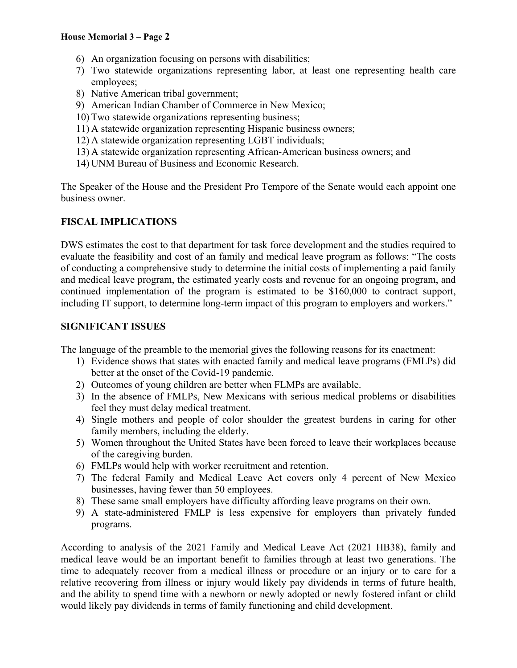#### **House Memorial 3 – Page 2**

- 6) An organization focusing on persons with disabilities;
- 7) Two statewide organizations representing labor, at least one representing health care employees;
- 8) Native American tribal government;
- 9) American Indian Chamber of Commerce in New Mexico;
- 10) Two statewide organizations representing business;
- 11) A statewide organization representing Hispanic business owners;
- 12) A statewide organization representing LGBT individuals;
- 13) A statewide organization representing African-American business owners; and
- 14) UNM Bureau of Business and Economic Research.

The Speaker of the House and the President Pro Tempore of the Senate would each appoint one business owner.

### **FISCAL IMPLICATIONS**

DWS estimates the cost to that department for task force development and the studies required to evaluate the feasibility and cost of an family and medical leave program as follows: "The costs of conducting a comprehensive study to determine the initial costs of implementing a paid family and medical leave program, the estimated yearly costs and revenue for an ongoing program, and continued implementation of the program is estimated to be \$160,000 to contract support, including IT support, to determine long-term impact of this program to employers and workers."

#### **SIGNIFICANT ISSUES**

The language of the preamble to the memorial gives the following reasons for its enactment:

- 1) Evidence shows that states with enacted family and medical leave programs (FMLPs) did better at the onset of the Covid-19 pandemic.
- 2) Outcomes of young children are better when FLMPs are available.
- 3) In the absence of FMLPs, New Mexicans with serious medical problems or disabilities feel they must delay medical treatment.
- 4) Single mothers and people of color shoulder the greatest burdens in caring for other family members, including the elderly.
- 5) Women throughout the United States have been forced to leave their workplaces because of the caregiving burden.
- 6) FMLPs would help with worker recruitment and retention.
- 7) The federal Family and Medical Leave Act covers only 4 percent of New Mexico businesses, having fewer than 50 employees.
- 8) These same small employers have difficulty affording leave programs on their own.
- 9) A state-administered FMLP is less expensive for employers than privately funded programs.

According to analysis of the 2021 Family and Medical Leave Act (2021 HB38), family and medical leave would be an important benefit to families through at least two generations. The time to adequately recover from a medical illness or procedure or an injury or to care for a relative recovering from illness or injury would likely pay dividends in terms of future health, and the ability to spend time with a newborn or newly adopted or newly fostered infant or child would likely pay dividends in terms of family functioning and child development.